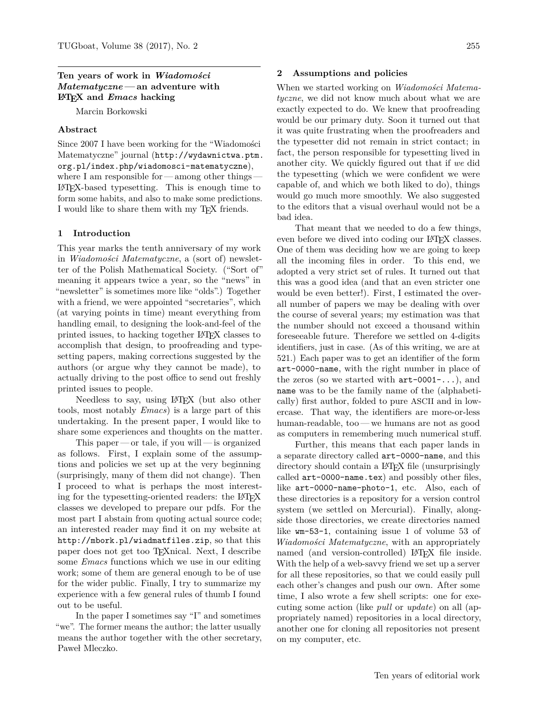### **Ten years of work in** *Wiadomo´sci Matematyczne* **— an adventure with LATEX and** *Emacs* **hacking**

Marcin Borkowski

### **Abstract**

Since 2007 I have been working for the "Wiadomości Matematyczne" journal ([http://wydawnictwa.ptm.](http://wydawnictwa.ptm.org.pl/index.php/wiadomosci-matematyczne) [org.pl/index.php/wiadomosci-matematyczne](http://wydawnictwa.ptm.org.pl/index.php/wiadomosci-matematyczne)), where I am responsible for — among other things-LATEX-based typesetting. This is enough time to form some habits, and also to make some predictions. I would like to share them with my TEX friends.

#### **1 Introduction**

This year marks the tenth anniversary of my work in *Wiadomości Matematyczne*, a (sort of) newsletter of the Polish Mathematical Society. ("Sort of" meaning it appears twice a year, so the "news" in "newsletter" is sometimes more like "olds".) Together with a friend, we were appointed "secretaries", which (at varying points in time) meant everything from handling email, to designing the look-and-feel of the printed issues, to hacking together LATEX classes to accomplish that design, to proofreading and typesetting papers, making corrections suggested by the authors (or argue why they cannot be made), to actually driving to the post office to send out freshly printed issues to people.

Needless to say, using LATEX (but also other tools, most notably *Emacs*) is a large part of this undertaking. In the present paper, I would like to share some experiences and thoughts on the matter.

This paper— or tale, if you will— is organized as follows. First, I explain some of the assumptions and policies we set up at the very beginning (surprisingly, many of them did not change). Then I proceed to what is perhaps the most interesting for the typesetting-oriented readers: the LATEX classes we developed to prepare our pdfs. For the most part I abstain from quoting actual source code; an interested reader may find it on my website at <http://mbork.pl/wiadmatfiles.zip>, so that this paper does not get too TEXnical. Next, I describe some *Emacs* functions which we use in our editing work; some of them are general enough to be of use for the wider public. Finally, I try to summarize my experience with a few general rules of thumb I found out to be useful.

In the paper I sometimes say "I" and sometimes "we". The former means the author; the latter usually means the author together with the other secretary, Paweł Mleczko.

#### **2 Assumptions and policies**

When we started working on *Wiadomości Matematyczne*, we did not know much about what we are exactly expected to do. We knew that proofreading would be our primary duty. Soon it turned out that it was quite frustrating when the proofreaders and the typesetter did not remain in strict contact; in fact, the person responsible for typesetting lived in another city. We quickly figured out that if *we* did the typesetting (which we were confident we were capable of, and which we both liked to do), things would go much more smoothly. We also suggested to the editors that a visual overhaul would not be a bad idea.

That meant that we needed to do a few things, even before we dived into coding our LAT<sub>EX</sub> classes. One of them was deciding how we are going to keep all the incoming files in order. To this end, we adopted a very strict set of rules. It turned out that this was a good idea (and that an even stricter one would be even better!). First, I estimated the overall number of papers we may be dealing with over the course of several years; my estimation was that the number should not exceed a thousand within foreseeable future. Therefore we settled on 4-digits identifiers, just in case. (As of this writing, we are at 521.) Each paper was to get an identifier of the form art-0000-name, with the right number in place of the zeros (so we started with  $art-0001-...$ ), and name was to be the family name of the (alphabetically) first author, folded to pure ASCII and in lowercase. That way, the identifiers are more-or-less human-readable, too— we humans are not as good as computers in remembering much numerical stuff.

Further, this means that each paper lands in a separate directory called art-0000-name, and this directory should contain a LATEX file (unsurprisingly called art-0000-name.tex) and possibly other files, like art-0000-name-photo-1, etc. Also, each of these directories is a repository for a version control system (we settled on Mercurial). Finally, alongside those directories, we create directories named like wm-53-1, containing issue 1 of volume 53 of *Wiadomości Matematyczne*, with an appropriately named (and version-controlled) IATEX file inside. With the help of a web-savvy friend we set up a server for all these repositories, so that we could easily pull each other's changes and push our own. After some time, I also wrote a few shell scripts: one for executing some action (like *pull* or *update*) on all (appropriately named) repositories in a local directory, another one for cloning all repositories not present on my computer, etc.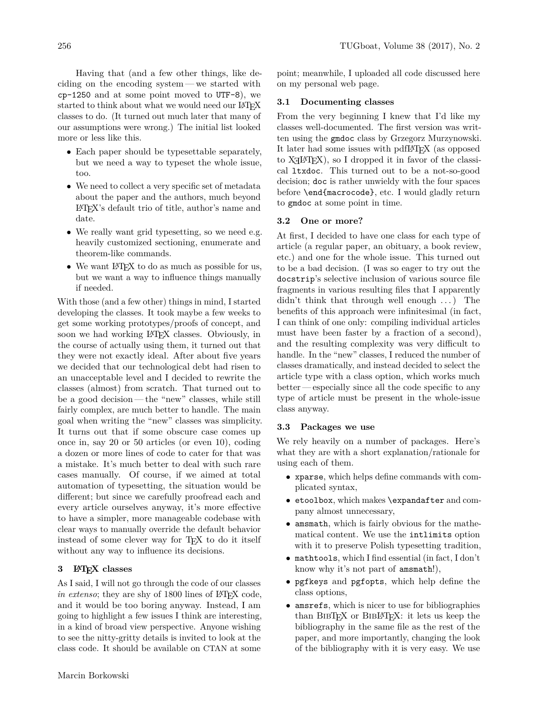Having that (and a few other things, like deciding on the encoding system— we started with cp-1250 and at some point moved to UTF-8), we started to think about what we would need our LATEX classes to do. (It turned out much later that many of our assumptions were wrong.) The initial list looked more or less like this.

- Each paper should be typesettable separately, but we need a way to typeset the whole issue, too.
- We need to collect a very specific set of metadata about the paper and the authors, much beyond LATEX's default trio of title, author's name and date.
- We really want grid typesetting, so we need e.g. heavily customized sectioning, enumerate and theorem-like commands.
- We want LAT<sub>F</sub>X to do as much as possible for us, but we want a way to influence things manually if needed.

With those (and a few other) things in mind, I started developing the classes. It took maybe a few weeks to get some working prototypes/proofs of concept, and soon we had working LAT<sub>EX</sub> classes. Obviously, in the course of actually using them, it turned out that they were not exactly ideal. After about five years we decided that our technological debt had risen to an unacceptable level and I decided to rewrite the classes (almost) from scratch. That turned out to be a good decision— the "new" classes, while still fairly complex, are much better to handle. The main goal when writing the "new" classes was simplicity. It turns out that if some obscure case comes up once in, say 20 or 50 articles (or even 10), coding a dozen or more lines of code to cater for that was a mistake. It's much better to deal with such rare cases manually. Of course, if we aimed at total automation of typesetting, the situation would be different; but since we carefully proofread each and every article ourselves anyway, it's more effective to have a simpler, more manageable codebase with clear ways to manually override the default behavior instead of some clever way for T<sub>E</sub>X to do it itself without any way to influence its decisions.

### **3 LATEX classes**

As I said, I will not go through the code of our classes *in extenso*; they are shy of 1800 lines of LAT<sub>EX</sub> code, and it would be too boring anyway. Instead, I am going to highlight a few issues I think are interesting, in a kind of broad view perspective. Anyone wishing to see the nitty-gritty details is invited to look at the class code. It should be available on CTAN at some

point; meanwhile, I uploaded all code discussed here on my personal web page.

### **3.1 Documenting classes**

From the very beginning I knew that I'd like my classes well-documented. The first version was written using the gmdoc class by Grzegorz Murzynowski. It later had some issues with pdfLATEX (as opposed to  $X \rightarrow Y \rightarrow X$ , so I dropped it in favor of the classical ltxdoc. This turned out to be a not-so-good decision; doc is rather unwieldy with the four spaces before \end{macrocode}, etc. I would gladly return to gmdoc at some point in time.

# **3.2 One or more?**

At first, I decided to have one class for each type of article (a regular paper, an obituary, a book review, etc.) and one for the whole issue. This turned out to be a bad decision. (I was so eager to try out the docstrip's selective inclusion of various source file fragments in various resulting files that I apparently didn't think that through well enough ...) The benefits of this approach were infinitesimal (in fact, I can think of one only: compiling individual articles must have been faster by a fraction of a second), and the resulting complexity was very difficult to handle. In the "new" classes, I reduced the number of classes dramatically, and instead decided to select the article type with a class option, which works much better — especially since all the code specific to any type of article must be present in the whole-issue class anyway.

#### **3.3 Packages we use**

We rely heavily on a number of packages. Here's what they are with a short explanation/rationale for using each of them.

- xparse, which helps define commands with complicated syntax,
- etoolbox, which makes \expandafter and company almost unnecessary,
- amsmath, which is fairly obvious for the mathematical content. We use the intlimits option with it to preserve Polish typesetting tradition,
- mathtools, which I find essential (in fact, I don't know why it's not part of amsmath!),
- pgfkeys and pgfopts, which help define the class options,
- amsrefs, which is nicer to use for bibliographies than BibTEX or BibLATEX: it lets us keep the bibliography in the same file as the rest of the paper, and more importantly, changing the look of the bibliography with it is very easy. We use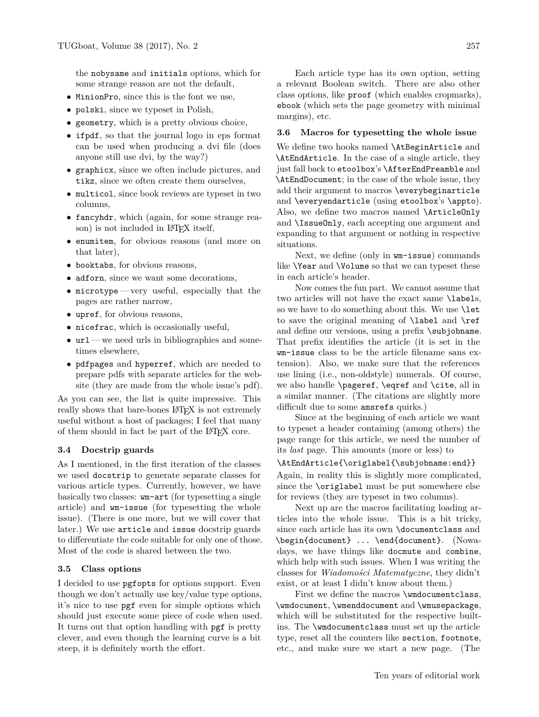the nobysame and initials options, which for some strange reason are not the default,

- MinionPro, since this is the font we use,
- polski, since we typeset in Polish,
- geometry, which is a pretty obvious choice,
- ifpdf, so that the journal logo in eps format can be used when producing a dvi file (does anyone still use dvi, by the way?)
- graphicx, since we often include pictures, and tikz, since we often create them ourselves,
- multicol, since book reviews are typeset in two columns,
- fancyhdr, which (again, for some strange reason) is not included in L<sup>AT</sup>FX itself,
- enumitem, for obvious reasons (and more on that later),
- booktabs, for obvious reasons,
- adforn, since we want some decorations,
- microtype— very useful, especially that the pages are rather narrow,
- upref, for obvious reasons,
- nicefrac, which is occasionally useful,
- $ur1$  we need urls in bibliographies and sometimes elsewhere,
- pdfpages and hyperref, which are needed to prepare pdfs with separate articles for the website (they are made from the whole issue's pdf).

As you can see, the list is quite impressive. This really shows that bare-bones LAT<sub>EX</sub> is not extremely useful without a host of packages; I feel that many of them should in fact be part of the LATEX core.

### **3.4 Docstrip guards**

As I mentioned, in the first iteration of the classes we used docstrip to generate separate classes for various article types. Currently, however, we have basically two classes: wm-art (for typesetting a single article) and wm-issue (for typesetting the whole issue). (There is one more, but we will cover that later.) We use article and issue docstrip guards to differentiate the code suitable for only one of those. Most of the code is shared between the two.

#### **3.5 Class options**

I decided to use pgfopts for options support. Even though we don't actually use key/value type options, it's nice to use pgf even for simple options which should just execute some piece of code when used. It turns out that option handling with pgf is pretty clever, and even though the learning curve is a bit steep, it is definitely worth the effort.

Each article type has its own option, setting a relevant Boolean switch. There are also other class options, like proof (which enables cropmarks), ebook (which sets the page geometry with minimal margins), etc.

#### **3.6 Macros for typesetting the whole issue**

We define two hooks named \AtBeginArticle and \AtEndArticle. In the case of a single article, they just fall back to etoolbox's \AfterEndPreamble and \AtEndDocument; in the case of the whole issue, they add their argument to macros \everybeginarticle and \everyendarticle (using etoolbox's \appto). Also, we define two macros named \ArticleOnly and \IssueOnly, each accepting one argument and expanding to that argument or nothing in respective situations.

Next, we define (only in wm-issue) commands like \Year and \Volume so that we can typeset these in each article's header.

Now comes the fun part. We cannot assume that two articles will not have the exact same \labels, so we have to do something about this. We use **\let** to save the original meaning of \label and \ref and define our versions, using a prefix \subjobname. That prefix identifies the article (it is set in the wm-issue class to be the article filename sans extension). Also, we make sure that the references use lining (i.e., non-oldstyle) numerals. Of course, we also handle \pageref, \eqref and \cite, all in a similar manner. (The citations are slightly more difficult due to some amsrefs quirks.)

Since at the beginning of each article we want to typeset a header containing (among others) the page range for this article, we need the number of its *last* page. This amounts (more or less) to

### \AtEndArticle{\origlabel{\subjobname:end}}

Again, in reality this is slightly more complicated, since the \origlabel must be put somewhere else for reviews (they are typeset in two columns).

Next up are the macros facilitating loading articles into the whole issue. This is a bit tricky, since each article has its own \documentclass and \begin{document} ... \end{document}. (Nowadays, we have things like docmute and combine, which help with such issues. When I was writing the classes for *Wiadomo´sci Matematyczne*, they didn't exist, or at least I didn't know about them.)

First we define the macros \wmdocumentclass, \wmdocument, \wmenddocument and \wmusepackage, which will be substituted for the respective builtins. The \wmdocumentclass must set up the article type, reset all the counters like section, footnote, etc., and make sure we start a new page. (The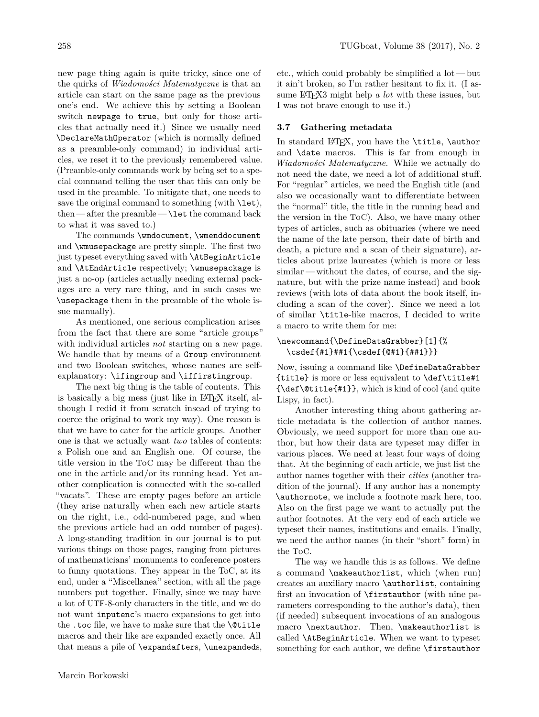new page thing again is quite tricky, since one of the quirks of *Wiadomości Matematyczne* is that an article can start on the same page as the previous one's end. We achieve this by setting a Boolean switch newpage to true, but only for those articles that actually need it.) Since we usually need \DeclareMathOperator (which is normally defined as a preamble-only command) in individual articles, we reset it to the previously remembered value. (Preamble-only commands work by being set to a special command telling the user that this can only be used in the preamble. To mitigate that, one needs to save the original command to something (with  $\let$ ), then  $-$  after the preamble  $\text{let}$  the command back to what it was saved to.)

The commands \wmdocument, \wmenddocument and \wmusepackage are pretty simple. The first two just typeset everything saved with \AtBeginArticle and \AtEndArticle respectively; \wmusepackage is just a no-op (articles actually needing external packages are a very rare thing, and in such cases we \usepackage them in the preamble of the whole issue manually).

As mentioned, one serious complication arises from the fact that there are some "article groups" with individual articles *not* starting on a new page. We handle that by means of a Group environment and two Boolean switches, whose names are selfexplanatory: \ifingroup and \iffirstingroup.

The next big thing is the table of contents. This is basically a big mess (just like in LAT<sub>EX</sub> itself, although I redid it from scratch insead of trying to coerce the original to work my way). One reason is that we have to cater for the article groups. Another one is that we actually want *two* tables of contents: a Polish one and an English one. Of course, the title version in the ToC may be different than the one in the article and/or its running head. Yet another complication is connected with the so-called "vacats". These are empty pages before an article (they arise naturally when each new article starts on the right, i.e., odd-numbered page, and when the previous article had an odd number of pages). A long-standing tradition in our journal is to put various things on those pages, ranging from pictures of mathematicians' monuments to conference posters to funny quotations. They appear in the ToC, at its end, under a "Miscellanea" section, with all the page numbers put together. Finally, since we may have a lot of UTF-8-only characters in the title, and we do not want inputenc's macro expansions to get into the .toc file, we have to make sure that the \@title macros and their like are expanded exactly once. All that means a pile of \expandafters, \unexpandeds,

etc., which could probably be simplified a lot — but it ain't broken, so I'm rather hesitant to fix it. (I assume LATEX3 might help *a lot* with these issues, but I was not brave enough to use it.)

### **3.7 Gathering metadata**

In standard LATEX, you have the \title, \author and \date macros. This is far from enough in *Wiadomo´sci Matematyczne*. While we actually do not need the date, we need a lot of additional stuff. For "regular" articles, we need the English title (and also we occasionally want to differentiate between the "normal" title, the title in the running head and the version in the ToC). Also, we have many other types of articles, such as obituaries (where we need the name of the late person, their date of birth and death, a picture and a scan of their signature), articles about prize laureates (which is more or less similar— without the dates, of course, and the signature, but with the prize name instead) and book reviews (with lots of data about the book itself, including a scan of the cover). Since we need a lot of similar \title-like macros, I decided to write a macro to write them for me:

### \newcommand{\DefineDataGrabber}[1]{% \csdef{#1}##1{\csdef{@#1}{##1}}}

Now, issuing a command like \DefineDataGrabber {title} is more or less equivalent to \def\title#1 {\def\@title{#1}}, which is kind of cool (and quite Lispy, in fact).

Another interesting thing about gathering article metadata is the collection of author names. Obviously, we need support for more than one author, but how their data are typeset may differ in various places. We need at least four ways of doing that. At the beginning of each article, we just list the author names together with their *cities* (another tradition of the journal). If any author has a nonempty \authornote, we include a footnote mark here, too. Also on the first page we want to actually put the author footnotes. At the very end of each article we typeset their names, institutions and emails. Finally, we need the author names (in their "short" form) in the ToC.

The way we handle this is as follows. We define a command \makeauthorlist, which (when run) creates an auxiliary macro \authorlist, containing first an invocation of \firstauthor (with nine parameters corresponding to the author's data), then (if needed) subsequent invocations of an analogous macro \nextauthor. Then, \makeauthorlist is called \AtBeginArticle. When we want to typeset something for each author, we define \firstauthor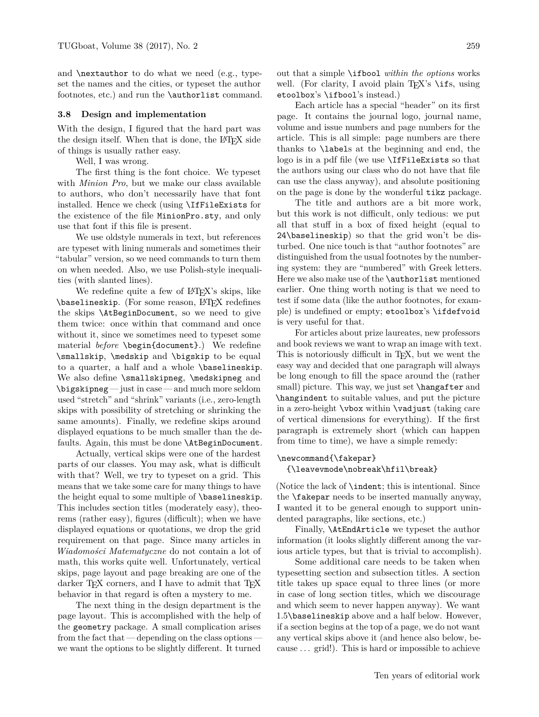and \nextauthor to do what we need (e.g., typeset the names and the cities, or typeset the author footnotes, etc.) and run the \authorlist command.

#### **3.8 Design and implementation**

With the design, I figured that the hard part was the design itself. When that is done, the LAT<sub>EX</sub> side of things is usually rather easy.

Well, I was wrong.

The first thing is the font choice. We typeset with *Minion Pro*, but we make our class available to authors, who don't necessarily have that font installed. Hence we check (using \IfFileExists for the existence of the file MinionPro.sty, and only use that font if this file is present.

We use oldstyle numerals in text, but references are typeset with lining numerals and sometimes their "tabular" version, so we need commands to turn them on when needed. Also, we use Polish-style inequalities (with slanted lines).

We redefine quite a few of LAT<sub>EX</sub>'s skips, like \baselineskip. (For some reason, L<sup>AT</sup>FX redefines the skips \AtBeginDocument, so we need to give them twice: once within that command and once without it, since we sometimes need to typeset some material *before* \begin{document}.) We redefine \smallskip, \medskip and \bigskip to be equal to a quarter, a half and a whole \baselineskip. We also define \smallskipneg, \medskipneg and \bigskipneg — just in case — and much more seldom used "stretch" and "shrink" variants (i.e., zero-length skips with possibility of stretching or shrinking the same amounts). Finally, we redefine skips around displayed equations to be much smaller than the defaults. Again, this must be done \AtBeginDocument.

Actually, vertical skips were one of the hardest parts of our classes. You may ask, what is difficult with that? Well, we try to typeset on a grid. This means that we take some care for many things to have the height equal to some multiple of \baselineskip. This includes section titles (moderately easy), theorems (rather easy), figures (difficult); when we have displayed equations or quotations, we drop the grid requirement on that page. Since many articles in *Wiadomo´sci Matematyczne* do not contain a lot of math, this works quite well. Unfortunately, vertical skips, page layout and page breaking are one of the darker TFX corners, and I have to admit that TFX behavior in that regard is often a mystery to me.

The next thing in the design department is the page layout. This is accomplished with the help of the geometry package. A small complication arises from the fact that — depending on the class options we want the options to be slightly different. It turned

out that a simple \ifbool *within the options* works well. (For clarity, I avoid plain T<sub>EX</sub>'s \ifs, using etoolbox's \ifbool's instead.)

Each article has a special "header" on its first page. It contains the journal logo, journal name, volume and issue numbers and page numbers for the article. This is all simple: page numbers are there thanks to \labels at the beginning and end, the logo is in a pdf file (we use \IfFileExists so that the authors using our class who do not have that file can use the class anyway), and absolute positioning on the page is done by the wonderful tikz package.

The title and authors are a bit more work, but this work is not difficult, only tedious: we put all that stuff in a box of fixed height (equal to 24\baselineskip) so that the grid won't be disturbed. One nice touch is that "author footnotes" are distinguished from the usual footnotes by the numbering system: they are "numbered" with Greek letters. Here we also make use of the **\authorlist** mentioned earlier. One thing worth noting is that we need to test if some data (like the author footnotes, for example) is undefined or empty; etoolbox's \ifdefvoid is very useful for that.

For articles about prize laureates, new professors and book reviews we want to wrap an image with text. This is notoriously difficult in T<sub>E</sub>X, but we went the easy way and decided that one paragraph will always be long enough to fill the space around the (rather small) picture. This way, we just set **\hangafter** and \hangindent to suitable values, and put the picture in a zero-height \vbox within \vadjust (taking care of vertical dimensions for everything). If the first paragraph is extremely short (which can happen from time to time), we have a simple remedy:

#### \newcommand{\fakepar}

{\leavevmode\nobreak\hfil\break}

(Notice the lack of \indent; this is intentional. Since the \fakepar needs to be inserted manually anyway, I wanted it to be general enough to support unindented paragraphs, like sections, etc.)

Finally, \AtEndArticle we typeset the author information (it looks slightly different among the various article types, but that is trivial to accomplish).

Some additional care needs to be taken when typesetting section and subsection titles. A section title takes up space equal to three lines (or more in case of long section titles, which we discourage and which seem to never happen anyway). We want 1.5\baselineskip above and a half below. However, if a section begins at the top of a page, we do not want any vertical skips above it (and hence also below, because . . . grid!). This is hard or impossible to achieve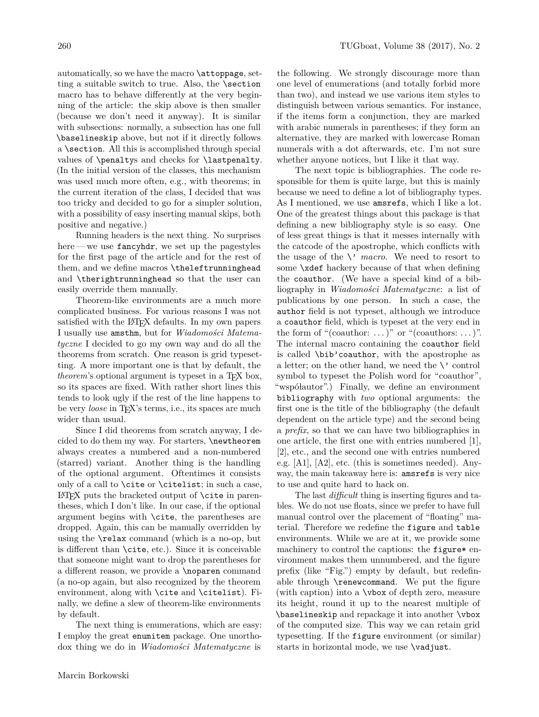automatically, so we have the macro \attoppage, setting a suitable switch to true. Also, the \section macro has to behave differently at the very beginning of the article: the skip above is then smaller (because we don't need it anyway). It is similar with subsections: normally, a subsection has one full \baselineskip above, but not if it directly follows a \section. All this is accomplished through special values of \penaltys and checks for \lastpenalty. (In the initial version of the classes, this mechanism was used much more often, e.g., with theorems; in the current iteration of the class, I decided that was too tricky and decided to go for a simpler solution, with a possibility of easy inserting manual skips, both positive and negative.)

Running headers is the next thing. No surprises here—we use fancyhdr, we set up the pagestyles for the first page of the article and for the rest of them, and we define macros \theleftrunninghead and \therightrunninghead so that the user can easily override them manually.

Theorem-like environments are a much more complicated business. For various reasons I was not satisfied with the LAT<sub>EX</sub> defaults. In my own papers I usually use amsthm, but for *Wiadomości Matematyczne* I decided to go my own way and do all the theorems from scratch. One reason is grid typesetting. A more important one is that by default, the *theorem*'s optional argument is typeset in a T<sub>EX</sub> box, so its spaces are fixed. With rather short lines this tends to look ugly if the rest of the line happens to be very *loose* in T<sub>E</sub>X's terms, i.e., its spaces are much wider than usual.

Since I did theorems from scratch anyway, I decided to do them my way. For starters, \newtheorem always creates a numbered and a non-numbered (starred) variant. Another thing is the handling of the optional argument. Oftentimes it consists only of a call to  $\cite{C115}; in such a case,$  $\LaTeX{}$  puts the bracketed output of  $\cite{right}$  in parentheses, which I don't like. In our case, if the optional argument begins with \cite, the parentheses are dropped. Again, this can be manually overridden by using the \relax command (which is a no-op, but is different than \cite, etc.). Since it is conceivable that someone might want to drop the parentheses for a different reason, we provide a \noparen command (a no-op again, but also recognized by the theorem environment, along with \cite and \citelist). Finally, we define a slew of theorem-like environments by default.

The next thing is enumerations, which are easy: I employ the great enumitem package. One unorthodox thing we do in *Wiadomości Matematyczne* is

the following. We strongly discourage more than one level of enumerations (and totally forbid more than two), and instead we use various item styles to distinguish between various semantics. For instance, if the items form a conjunction, they are marked with arabic numerals in parentheses; if they form an alternative, they are marked with lowercase Roman numerals with a dot afterwards, etc. I'm not sure whether anyone notices, but I like it that way.

The next topic is bibliographies. The code responsible for them is quite large, but this is mainly because we need to define a lot of bibliography types. As I mentioned, we use amsrefs, which I like a lot. One of the greatest things about this package is that defining a new bibliography style is so easy. One of less great things is that it messes internally with the catcode of the apostrophe, which conflicts with the usage of the  $\setminus$  *macro*. We need to resort to some \xdef hackery because of that when defining the coauthor. (We have a special kind of a bibliography in *Wiadomości Matematyczne*: a list of publications by one person. In such a case, the author field is not typeset, although we introduce a coauthor field, which is typeset at the very end in the form of "(coauthor:  $\ldots$ )" or "(coauthors:  $\ldots$ )". The internal macro containing the coauthor field is called \bib'coauthor, with the apostrophe as a letter; on the other hand, we need the  $\setminus$  control symbol to typeset the Polish word for "coauthor", "współautor".) Finally, we define an environment bibliography with *two* optional arguments: the first one is the title of the bibliography (the default dependent on the article type) and the second being a *prefix*, so that we can have two bibliographies in one article, the first one with entries numbered [1], [2], etc., and the second one with entries numbered e.g. [A1], [A2], etc. (this is sometimes needed). Anyway, the main takeaway here is: amsrefs is very nice to use and quite hard to hack on.

The last *difficult* thing is inserting figures and tables. We do not use floats, since we prefer to have full manual control over the placement of "floating" material. Therefore we redefine the figure and table environments. While we are at it, we provide some machinery to control the captions: the figure\* environment makes them unnumbered, and the figure prefix (like "Fig.") empty by default, but redefinable through \renewcommand. We put the figure (with caption) into a \vbox of depth zero, measure its height, round it up to the nearest multiple of \baselineskip and repackage it into another \vbox of the computed size. This way we can retain grid typesetting. If the figure environment (or similar) starts in horizontal mode, we use \vadjust.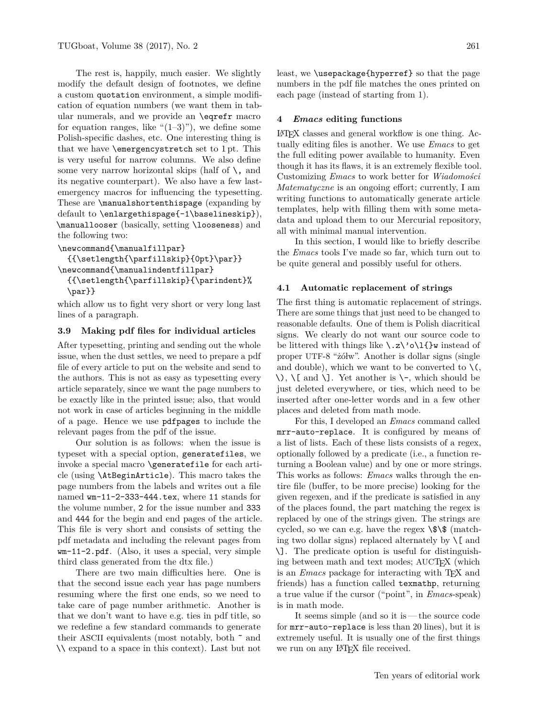The rest is, happily, much easier. We slightly modify the default design of footnotes, we define a custom quotation environment, a simple modification of equation numbers (we want them in tabular numerals, and we provide an \eqrefr macro for equation ranges, like " $(1-3)$ "), we define some Polish-specific dashes, etc. One interesting thing is that we have \emergencystretch set to 1 pt. This is very useful for narrow columns. We also define some very narrow horizontal skips (half of  $\setminus$ , and its negative counterpart). We also have a few lastemergency macros for influencing the typesetting. These are **\manualshortenthispage** (expanding by default to \enlargethispage{-1\baselineskip}), \manuallooser (basically, setting \looseness) and the following two:

```
\newcommand{\manualfillpar}
```

```
{{\setlength{\parfillskip}{0pt}\par}}
\newcommand{\manualindentfillpar}
 {{\setlength{\parfillskip}{\parindent}%
  \par}}
```
which allow us to fight very short or very long last lines of a paragraph.

# **3.9 Making pdf files for individual articles**

After typesetting, printing and sending out the whole issue, when the dust settles, we need to prepare a pdf file of every article to put on the website and send to the authors. This is not as easy as typesetting every article separately, since we want the page numbers to be exactly like in the printed issue; also, that would not work in case of articles beginning in the middle of a page. Hence we use pdfpages to include the relevant pages from the pdf of the issue.

Our solution is as follows: when the issue is typeset with a special option, generatefiles, we invoke a special macro \generatefile for each article (using \AtBeginArticle). This macro takes the page numbers from the labels and writes out a file named wm-11-2-333-444.tex, where 11 stands for the volume number, 2 for the issue number and 333 and 444 for the begin and end pages of the article. This file is very short and consists of setting the pdf metadata and including the relevant pages from wm-11-2.pdf. (Also, it uses a special, very simple third class generated from the dtx file.)

There are two main difficulties here. One is that the second issue each year has page numbers resuming where the first one ends, so we need to take care of page number arithmetic. Another is that we don't want to have e.g. ties in pdf title, so we redefine a few standard commands to generate their ASCII equivalents (most notably, both ˜ and \\ expand to a space in this context). Last but not

least, we \usepackage{hyperref} so that the page numbers in the pdf file matches the ones printed on each page (instead of starting from 1).

### **4** *Emacs* **editing functions**

LATEX classes and general workflow is one thing. Actually editing files is another. We use *Emacs* to get the full editing power available to humanity. Even though it has its flaws, it is an extremely flexible tool. Customizing *Emacs* to work better for *Wiadomo´sci Matematyczne* is an ongoing effort; currently, I am writing functions to automatically generate article templates, help with filling them with some metadata and upload them to our Mercurial repository, all with minimal manual intervention.

In this section, I would like to briefly describe the *Emacs* tools I've made so far, which turn out to be quite general and possibly useful for others.

# **4.1 Automatic replacement of strings**

The first thing is automatic replacement of strings. There are some things that just need to be changed to reasonable defaults. One of them is Polish diacritical signs. We clearly do not want our source code to be littered with things like  $\lambda z \ \delta \ l$  instead of proper UTF-8 " $\check{z}$ " Another is dollar signs (single and double), which we want to be converted to  $\setminus$  (,  $\setminus$ ,  $\setminus$ [ and  $\setminus$ ]. Yet another is  $\setminus$ -, which should be just deleted everywhere, or ties, which need to be inserted after one-letter words and in a few other places and deleted from math mode.

For this, I developed an *Emacs* command called mrr-auto-replace. It is configured by means of a list of lists. Each of these lists consists of a regex, optionally followed by a predicate (i.e., a function returning a Boolean value) and by one or more strings. This works as follows: *Emacs* walks through the entire file (buffer, to be more precise) looking for the given regexen, and if the predicate is satisfied in any of the places found, the part matching the regex is replaced by one of the strings given. The strings are cycled, so we can e.g. have the regex  $\$\$  (matching two dollar signs) replaced alternately by  $\setminus$ [ and \]. The predicate option is useful for distinguishing between math and text modes; AUCT<sub>EX</sub> (which is an *Emacs* package for interacting with T<sub>E</sub>X and friends) has a function called texmathp, returning a true value if the cursor ("point", in *Emacs*-speak) is in math mode.

It seems simple (and so it is— the source code for mrr-auto-replace is less than 20 lines), but it is extremely useful. It is usually one of the first things we run on any L<sup>AT</sup>FX file received.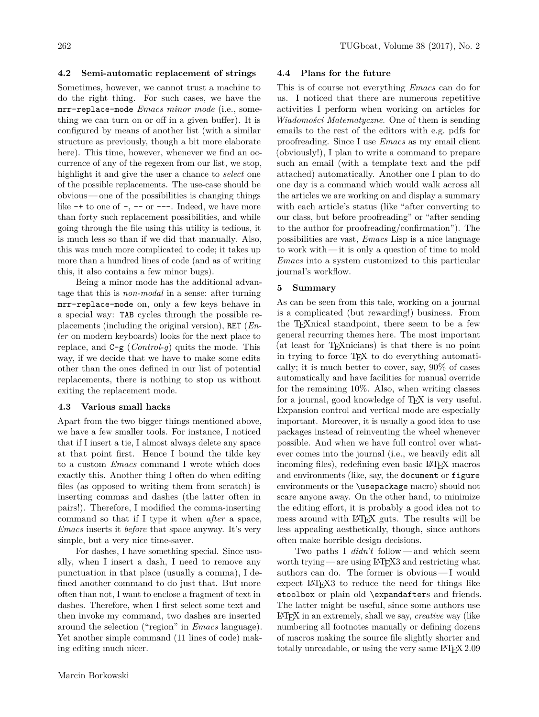### **4.2 Semi-automatic replacement of strings**

Sometimes, however, we cannot trust a machine to do the right thing. For such cases, we have the mrr-replace-mode *Emacs minor mode* (i.e., something we can turn on or off in a given buffer). It is configured by means of another list (with a similar structure as previously, though a bit more elaborate here). This time, however, whenever we find an occurrence of any of the regexen from our list, we stop, highlight it and give the user a chance to *select* one of the possible replacements. The use-case should be obvious — one of the possibilities is changing things like  $-+$  to one of  $-$ ,  $-$  or  $-$ . Indeed, we have more than forty such replacement possibilities, and while going through the file using this utility is tedious, it is much less so than if we did that manually. Also, this was much more complicated to code; it takes up more than a hundred lines of code (and as of writing this, it also contains a few minor bugs).

Being a minor mode has the additional advantage that this is *non-modal* in a sense: after turning mrr-replace-mode on, only a few keys behave in a special way: TAB cycles through the possible replacements (including the original version), RET (*Enter* on modern keyboards) looks for the next place to replace, and C-g (*Control-g*) quits the mode. This way, if we decide that we have to make some edits other than the ones defined in our list of potential replacements, there is nothing to stop us without exiting the replacement mode.

### **4.3 Various small hacks**

Apart from the two bigger things mentioned above, we have a few smaller tools. For instance, I noticed that if I insert a tie, I almost always delete any space at that point first. Hence I bound the tilde key to a custom *Emacs* command I wrote which does exactly this. Another thing I often do when editing files (as opposed to writing them from scratch) is inserting commas and dashes (the latter often in pairs!). Therefore, I modified the comma-inserting command so that if I type it when *after* a space, *Emacs* inserts it *before* that space anyway. It's very simple, but a very nice time-saver.

For dashes, I have something special. Since usually, when I insert a dash, I need to remove any punctuation in that place (usually a comma), I defined another command to do just that. But more often than not, I want to enclose a fragment of text in dashes. Therefore, when I first select some text and then invoke my command, two dashes are inserted around the selection ("region" in *Emacs* language). Yet another simple command (11 lines of code) making editing much nicer.

### **4.4 Plans for the future**

This is of course not everything *Emacs* can do for us. I noticed that there are numerous repetitive activities I perform when working on articles for *Wiadomo´sci Matematyczne*. One of them is sending emails to the rest of the editors with e.g. pdfs for proofreading. Since I use *Emacs* as my email client (obviously!), I plan to write a command to prepare such an email (with a template text and the pdf attached) automatically. Another one I plan to do one day is a command which would walk across all the articles we are working on and display a summary with each article's status (like "after converting to our class, but before proofreading" or "after sending to the author for proofreading/confirmation"). The possibilities are vast, *Emacs* Lisp is a nice language to work with — it is only a question of time to mold *Emacs* into a system customized to this particular journal's workflow.

# **5 Summary**

As can be seen from this tale, working on a journal is a complicated (but rewarding!) business. From the TEXnical standpoint, there seem to be a few general recurring themes here. The most important (at least for TEXnicians) is that there is no point in trying to force TEX to do everything automatically; it is much better to cover, say, 90% of cases automatically and have facilities for manual override for the remaining 10%. Also, when writing classes for a journal, good knowledge of TEX is very useful. Expansion control and vertical mode are especially important. Moreover, it is usually a good idea to use packages instead of reinventing the wheel whenever possible. And when we have full control over whatever comes into the journal (i.e., we heavily edit all incoming files), redefining even basic L<sup>A</sup>T<sub>E</sub>X macros and environments (like, say, the document or figure environments or the \usepackage macro) should not scare anyone away. On the other hand, to minimize the editing effort, it is probably a good idea not to mess around with LATEX guts. The results will be less appealing aesthetically, though, since authors often make horrible design decisions.

Two paths I *didn't* follow— and which seem worth trying — are using LAT<sub>EX3</sub> and restricting what authors can do. The former is obvious— I would expect L<sup>A</sup>T<sub>F</sub>X<sub>3</sub> to reduce the need for things like etoolbox or plain old \expandafters and friends. The latter might be useful, since some authors use LATEX in an extremely, shall we say, *creative* way (like numbering all footnotes manually or defining dozens of macros making the source file slightly shorter and totally unreadable, or using the very same LATFX 2.09